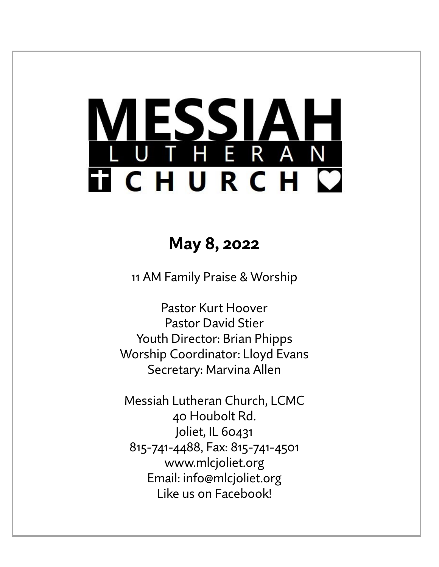# **MESSIAH TICHURCH C**

## **May 8, 2022**

11 AM Family Praise & Worship

Pastor Kurt Hoover Pastor David Stier Youth Director: Brian Phipps Worship Coordinator: Lloyd Evans Secretary: Marvina Allen

Messiah Lutheran Church, LCMC 40 Houbolt Rd. Joliet, IL 60431 815-741-4488, Fax: 815-741-4501 www.mlcjoliet.org Email: info@mlcjoliet.org Like us on Facebook!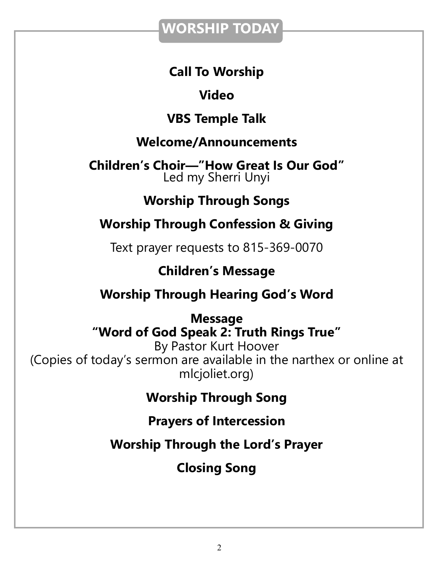## **WORSHIP TODAY**

## **Call To Worship**

## **Video**

## **VBS Temple Talk**

## **Welcome/Announcements**

**Children's Choir—"How Great Is Our God"** Led my Sherri Unyi

## **Worship Through Songs**

## **Worship Through Confession & Giving**

Text prayer requests to 815-369-0070

## **Children's Message**

## **Worship Through Hearing God's Word**

## **Message "Word of God Speak 2: Truth Rings True"**

By Pastor Kurt Hoover (Copies of today's sermon are available in the narthex or online at mlcjoliet.org)

## **Worship Through Song**

## **Prayers of Intercession**

**Worship Through the Lord's Prayer**

**Closing Song**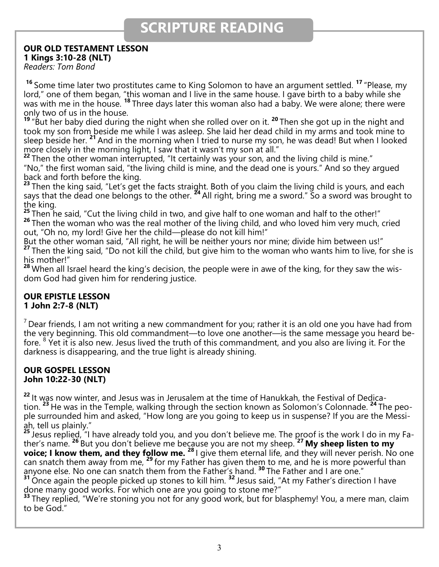## **SCRIPTURE READING**

#### **OUR OLD TESTAMENT LESSON**

**1 Kings 3:10-28 (NLT)**

*Readers: Tom Bond*

**<sup>16</sup>** Some time later two prostitutes came to King Solomon to have an argument settled. **<sup>17</sup>** "Please, my lord," one of them began, "this woman and I live in the same house. I gave birth to a baby while she was with me in the house. **<sup>18</sup>** Three days later this woman also had a baby. We were alone; there were only two of us in the house.

**19** "But her baby died during the night when she rolled over on it. **<sup>20</sup>** Then she got up in the night and took my son from beside me while I was asleep. She laid her dead child in my arms and took mine to sleep beside her. **<sup>21</sup>** And in the morning when I tried to nurse my son, he was dead! But when I looked more closely in the morning light, I saw that it wasn't my son at all."

<sup>22</sup> Then the other woman interrupted, "It certainly was your son, and the living child is mine." "No," the first woman said, "the living child is mine, and the dead one is yours." And so they argued back and forth before the king.

**<sup>23</sup>** Then the king said, "Let's get the facts straight. Both of you claim the living child is yours, and each says that the dead one belongs to the other. **<sup>24</sup>** All right, bring me a sword." So a sword was brought to the king.

<sup>25</sup> Then he said, "Cut the living child in two, and give half to one woman and half to the other!" <sup>26</sup> Then the woman who was the real mother of the living child, and who loved him very much, cried out, "Oh no, my lord! Give her the child—please do not kill him!"

But the other woman said, "All right, he will be neither yours nor mine; divide him between us!" **<sup>27</sup>** Then the king said, "Do not kill the child, but give him to the woman who wants him to live, for she is his mother!"

**<sup>28</sup>** When all Israel heard the king's decision, the people were in awe of the king, for they saw the wisdom God had given him for rendering justice.

#### **OUR EPISTLE LESSON 1 John 2:7-8 (NLT)**

 $<sup>7</sup>$  Dear friends, I am not writing a new commandment for you; rather it is an old one you have had from</sup> the very beginning. This old commandment—to love one another—is the same message you heard before.  $8$  Yet it is also new. Jesus lived the truth of this commandment, and you also are living it. For the darkness is disappearing, and the true light is already shining.

#### **OUR GOSPEL LESSON John 10:22-30 (NLT)**

**<sup>22</sup>** It was now winter, and Jesus was in Jerusalem at the time of Hanukkah, the Festival of Dedication. **<sup>23</sup>** He was in the Temple, walking through the section known as Solomon's Colonnade. **<sup>24</sup>** The people surrounded him and asked, "How long are you going to keep us in suspense? If you are the Messiah, tell us plainly."

**<sup>25</sup>** Jesus replied, "I have already told you, and you don't believe me. The proof is the work I do in my Father's name. **<sup>26</sup>** But you don't believe me because you are not my sheep. **<sup>27</sup> My sheep listen to my voice; I know them, and they follow me. <sup>28</sup>** I give them eternal life, and they will never perish. No one can snatch them away from me, <sup>29</sup> for my Father has given them to me, and he is more powerful than anyone else. No one can snatch them from the Father's hand. **<sup>30</sup>** The Father and I are one."

**<sup>31</sup>** Once again the people picked up stones to kill him. **<sup>32</sup>** Jesus said, "At my Father's direction I have done many good works. For which one are you going to stone me?"

<sup>33</sup> They replied, "We're stoning you not for any good work, but for blasphemy! You, a mere man, claim to be God."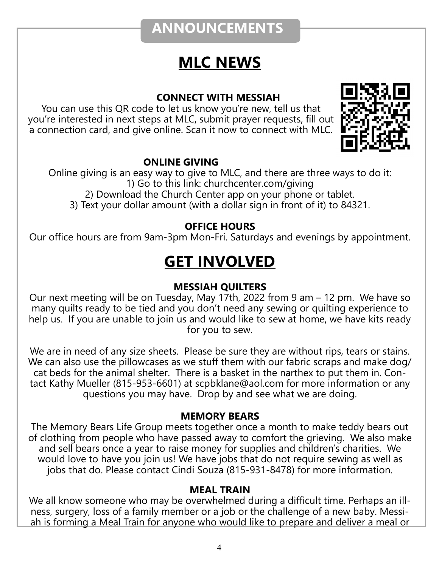## **ANNOUNCEMENTS**

## **MLC NEWS**

#### **CONNECT WITH MESSIAH**

You can use this QR code to let us know you're new, tell us that you're interested in next steps at MLC, submit prayer requests, fill out a connection card, and give online. Scan it now to connect with MLC.



#### **ONLINE GIVING**

Online giving is an easy way to give to MLC, and there are three ways to do it: 1) Go to this link: churchcenter.com/giving 2) Download the Church Center app on your phone or tablet. 3) Text your dollar amount (with a dollar sign in front of it) to 84321.

#### **OFFICE HOURS**

Our office hours are from 9am-3pm Mon-Fri. Saturdays and evenings by appointment.

## **GET INVOLVED**

#### **MESSIAH QUILTERS**

Our next meeting will be on Tuesday, May 17th, 2022 from 9 am – 12 pm. We have so many quilts ready to be tied and you don't need any sewing or quilting experience to help us. If you are unable to join us and would like to sew at home, we have kits ready for you to sew.

We are in need of any size sheets. Please be sure they are without rips, tears or stains. We can also use the pillowcases as we stuff them with our fabric scraps and make dog/ cat beds for the animal shelter. There is a basket in the narthex to put them in. Contact Kathy Mueller (815-953-6601) at scpbklane@aol.com for more information or any questions you may have. Drop by and see what we are doing.

#### **MEMORY BEARS**

The Memory Bears Life Group meets together once a month to make teddy bears out of clothing from people who have passed away to comfort the grieving. We also make and sell bears once a year to raise money for supplies and children's charities. We would love to have you join us! We have jobs that do not require sewing as well as jobs that do. Please contact Cindi Souza (815-931-8478) for more information.

#### **MEAL TRAIN**

We all know someone who may be overwhelmed during a difficult time. Perhaps an illness, surgery, loss of a family member or a job or the challenge of a new baby. Messiah is forming a Meal Train for anyone who would like to prepare and deliver a meal or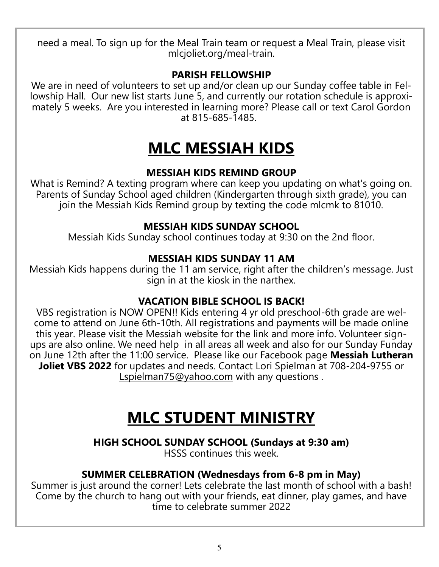need a meal. To sign up for the Meal Train team or request a Meal Train, please visit mlcjoliet.org/meal-train.

#### **PARISH FELLOWSHIP**

We are in need of volunteers to set up and/or clean up our Sunday coffee table in Fellowship Hall. Our new list starts June 5, and currently our rotation schedule is approximately 5 weeks. Are you interested in learning more? Please call or text Carol Gordon at 815-685-1485.

## **MLC MESSIAH KIDS**

#### **MESSIAH KIDS REMIND GROUP**

What is Remind? A texting program where can keep you updating on what's going on. Parents of Sunday School aged children (Kindergarten through sixth grade), you can join the Messiah Kids Remind group by texting the code mlcmk to 81010.

#### **MESSIAH KIDS SUNDAY SCHOOL**

Messiah Kids Sunday school continues today at 9:30 on the 2nd floor.

#### **MESSIAH KIDS SUNDAY 11 AM**

Messiah Kids happens during the 11 am service, right after the children's message. Just sign in at the kiosk in the narthex.

#### **VACATION BIBLE SCHOOL IS BACK!**

VBS registration is NOW OPEN!! Kids entering 4 yr old preschool-6th grade are welcome to attend on June 6th-10th. All registrations and payments will be made online this year. Please visit the Messiah website for the link and more info. Volunteer signups are also online. We need help in all areas all week and also for our Sunday Funday on June 12th after the 11:00 service. Please like our Facebook page **Messiah Lutheran Joliet VBS 2022** for updates and needs. Contact Lori Spielman at 708-204-9755 or [Lspielman75@yahoo.com](mailto:Lspielman75@yahoo.com) with any questions.

## **MLC STUDENT MINISTRY**

**HIGH SCHOOL SUNDAY SCHOOL (Sundays at 9:30 am)**

HSSS continues this week.

#### **SUMMER CELEBRATION (Wednesdays from 6-8 pm in May)**

Summer is just around the corner! Lets celebrate the last month of school with a bash! Come by the church to hang out with your friends, eat dinner, play games, and have time to celebrate summer 2022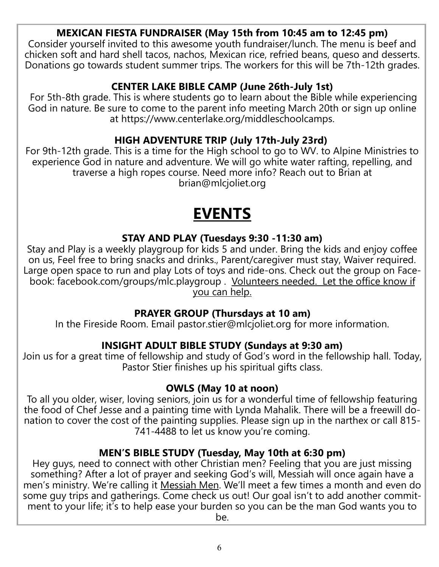#### **MEXICAN FIESTA FUNDRAISER (May 15th from 10:45 am to 12:45 pm)**

Consider yourself invited to this awesome youth fundraiser/lunch. The menu is beef and chicken soft and hard shell tacos, nachos, Mexican rice, refried beans, queso and desserts. Donations go towards student summer trips. The workers for this will be 7th-12th grades.

#### **CENTER LAKE BIBLE CAMP (June 26th-July 1st)**

For 5th-8th grade. This is where students go to learn about the Bible while experiencing God in nature. Be sure to come to the parent info meeting March 20th or sign up online at https://www.centerlake.org/middleschoolcamps.

#### **HIGH ADVENTURE TRIP (July 17th-July 23rd)**

For 9th-12th grade. This is a time for the High school to go to WV. to Alpine Ministries to experience God in nature and adventure. We will go white water rafting, repelling, and traverse a high ropes course. Need more info? Reach out to Brian at brian@mlcjoliet.org

## **EVENTS**

#### **STAY AND PLAY (Tuesdays 9:30 -11:30 am)**

Stay and Play is a weekly playgroup for kids 5 and under. Bring the kids and enjoy coffee on us, Feel free to bring snacks and drinks., Parent/caregiver must stay, Waiver required. Large open space to run and play Lots of toys and ride-ons. Check out the group on Facebook: facebook.com/groups/mlc.playgroup . Volunteers needed. Let the office know if you can help.

#### **PRAYER GROUP (Thursdays at 10 am)**

In the Fireside Room. Email pastor.stier@mlcjoliet.org for more information.

#### **INSIGHT ADULT BIBLE STUDY (Sundays at 9:30 am)**

Join us for a great time of fellowship and study of God's word in the fellowship hall. Today, Pastor Stier finishes up his spiritual gifts class.

#### **OWLS (May 10 at noon)**

To all you older, wiser, loving seniors, join us for a wonderful time of fellowship featuring the food of Chef Jesse and a painting time with Lynda Mahalik. There will be a freewill donation to cover the cost of the painting supplies. Please sign up in the narthex or call 815- 741-4488 to let us know you're coming.

#### **MEN'S BIBLE STUDY (Tuesday, May 10th at 6:30 pm)**

Hey guys, need to connect with other Christian men? Feeling that you are just missing something? After a lot of prayer and seeking God's will, Messiah will once again have a men's ministry. We're calling it Messiah Men. We'll meet a few times a month and even do some guy trips and gatherings. Come check us out! Our goal isn't to add another commitment to your life; it's to help ease your burden so you can be the man God wants you to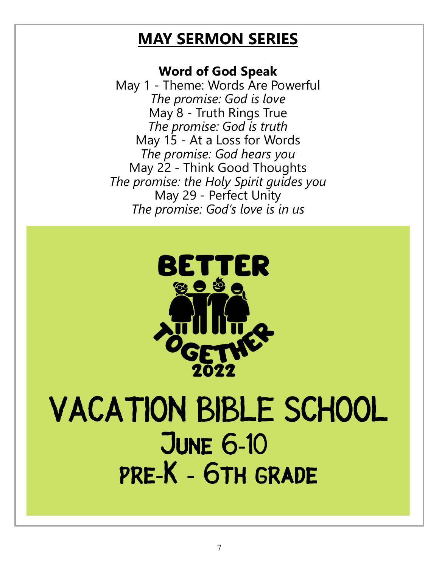## **MAY SERMON SERIES**

#### **Word of God Speak**

May 1 - Theme: Words Are Powerful *The promise: God is love* May 8 - Truth Rings True *The promise: God is truth* May 15 - At a Loss for Words *The promise: God hears you* May 22 - Think Good Thoughts *The promise: the Holy Spirit guides you* May 29 - Perfect Unity *The promise: God's love is in us*



## **VACATION BIBLE SCHOOL JUNE 6-10** PRE-K - 6TH GRADE